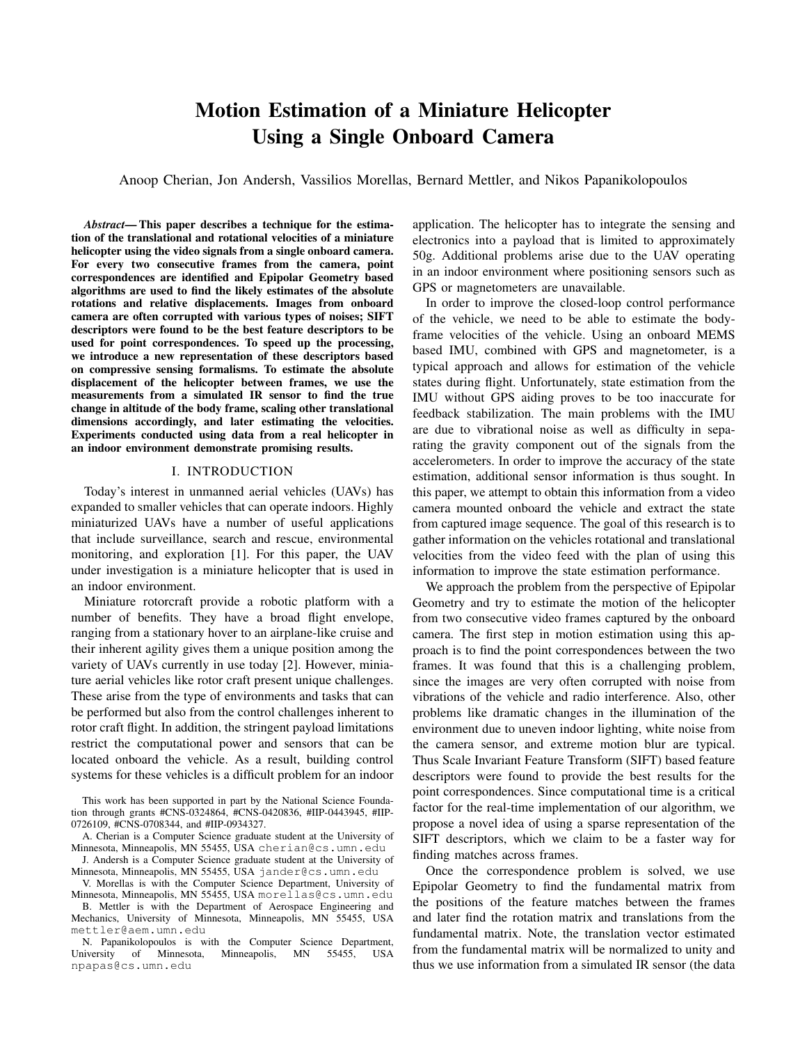# Motion Estimation of a Miniature Helicopter Using a Single Onboard Camera

Anoop Cherian, Jon Andersh, Vassilios Morellas, Bernard Mettler, and Nikos Papanikolopoulos

*Abstract*— This paper describes a technique for the estimation of the translational and rotational velocities of a miniature helicopter using the video signals from a single onboard camera. For every two consecutive frames from the camera, point correspondences are identified and Epipolar Geometry based algorithms are used to find the likely estimates of the absolute rotations and relative displacements. Images from onboard camera are often corrupted with various types of noises; SIFT descriptors were found to be the best feature descriptors to be used for point correspondences. To speed up the processing, we introduce a new representation of these descriptors based on compressive sensing formalisms. To estimate the absolute displacement of the helicopter between frames, we use the measurements from a simulated IR sensor to find the true change in altitude of the body frame, scaling other translational dimensions accordingly, and later estimating the velocities. Experiments conducted using data from a real helicopter in an indoor environment demonstrate promising results.

## I. INTRODUCTION

Today's interest in unmanned aerial vehicles (UAVs) has expanded to smaller vehicles that can operate indoors. Highly miniaturized UAVs have a number of useful applications that include surveillance, search and rescue, environmental monitoring, and exploration [1]. For this paper, the UAV under investigation is a miniature helicopter that is used in an indoor environment.

Miniature rotorcraft provide a robotic platform with a number of benefits. They have a broad flight envelope, ranging from a stationary hover to an airplane-like cruise and their inherent agility gives them a unique position among the variety of UAVs currently in use today [2]. However, miniature aerial vehicles like rotor craft present unique challenges. These arise from the type of environments and tasks that can be performed but also from the control challenges inherent to rotor craft flight. In addition, the stringent payload limitations restrict the computational power and sensors that can be located onboard the vehicle. As a result, building control systems for these vehicles is a difficult problem for an indoor

J. Andersh is a Computer Science graduate student at the University of Minnesota, Minneapolis, MN 55455, USA jander@cs.umn.edu

V. Morellas is with the Computer Science Department, University of Minnesota, Minneapolis, MN 55455, USA morellas@cs.umn.edu

B. Mettler is with the Department of Aerospace Engineering and Mechanics, University of Minnesota, Minneapolis, MN 55455, USA mettler@aem.umn.edu

N. Papanikolopoulos is with the Computer Science Department,<br>University of Minnesota, Minneapolis, MN 55455, USA Minneapolis, MN 55455, USA npapas@cs.umn.edu

application. The helicopter has to integrate the sensing and electronics into a payload that is limited to approximately 50g. Additional problems arise due to the UAV operating in an indoor environment where positioning sensors such as GPS or magnetometers are unavailable.

In order to improve the closed-loop control performance of the vehicle, we need to be able to estimate the bodyframe velocities of the vehicle. Using an onboard MEMS based IMU, combined with GPS and magnetometer, is a typical approach and allows for estimation of the vehicle states during flight. Unfortunately, state estimation from the IMU without GPS aiding proves to be too inaccurate for feedback stabilization. The main problems with the IMU are due to vibrational noise as well as difficulty in separating the gravity component out of the signals from the accelerometers. In order to improve the accuracy of the state estimation, additional sensor information is thus sought. In this paper, we attempt to obtain this information from a video camera mounted onboard the vehicle and extract the state from captured image sequence. The goal of this research is to gather information on the vehicles rotational and translational velocities from the video feed with the plan of using this information to improve the state estimation performance.

We approach the problem from the perspective of Epipolar Geometry and try to estimate the motion of the helicopter from two consecutive video frames captured by the onboard camera. The first step in motion estimation using this approach is to find the point correspondences between the two frames. It was found that this is a challenging problem, since the images are very often corrupted with noise from vibrations of the vehicle and radio interference. Also, other problems like dramatic changes in the illumination of the environment due to uneven indoor lighting, white noise from the camera sensor, and extreme motion blur are typical. Thus Scale Invariant Feature Transform (SIFT) based feature descriptors were found to provide the best results for the point correspondences. Since computational time is a critical factor for the real-time implementation of our algorithm, we propose a novel idea of using a sparse representation of the SIFT descriptors, which we claim to be a faster way for finding matches across frames.

Once the correspondence problem is solved, we use Epipolar Geometry to find the fundamental matrix from the positions of the feature matches between the frames and later find the rotation matrix and translations from the fundamental matrix. Note, the translation vector estimated from the fundamental matrix will be normalized to unity and thus we use information from a simulated IR sensor (the data

This work has been supported in part by the National Science Foundation through grants #CNS-0324864, #CNS-0420836, #IIP-0443945, #IIP-0726109, #CNS-0708344, and #IIP-0934327.

A. Cherian is a Computer Science graduate student at the University of Minnesota, Minneapolis, MN 55455, USA cherian@cs.umn.edu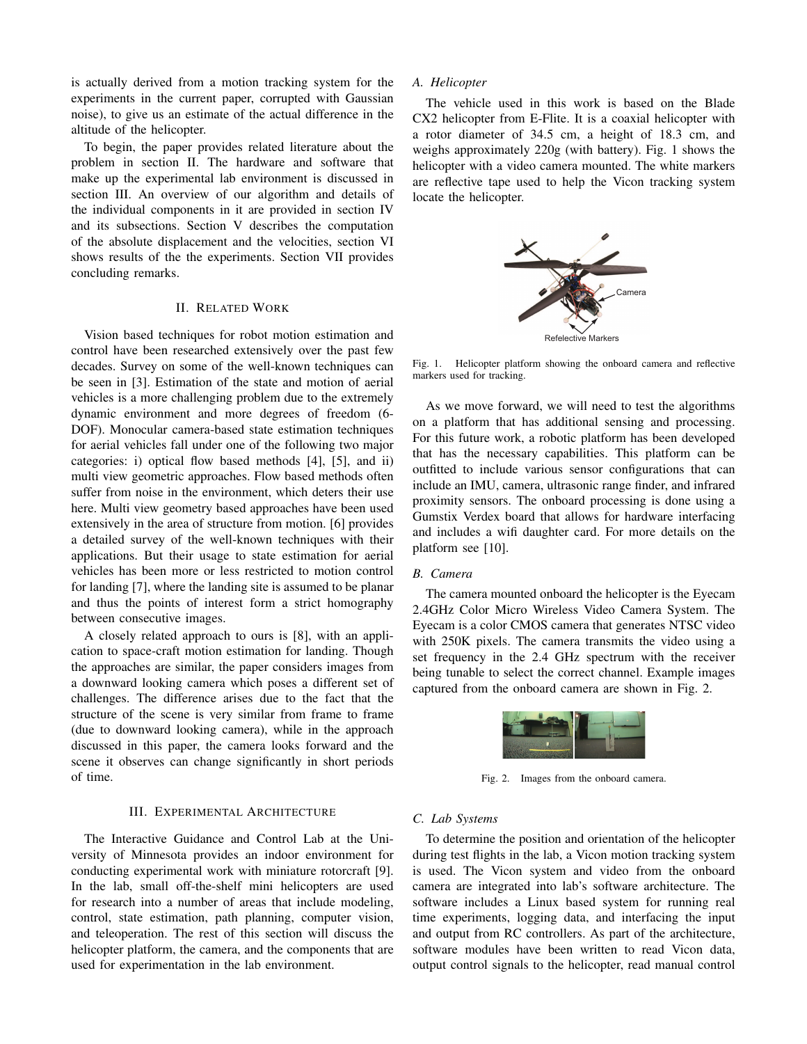is actually derived from a motion tracking system for the experiments in the current paper, corrupted with Gaussian noise), to give us an estimate of the actual difference in the altitude of the helicopter.

To begin, the paper provides related literature about the problem in section II. The hardware and software that make up the experimental lab environment is discussed in section III. An overview of our algorithm and details of the individual components in it are provided in section IV and its subsections. Section V describes the computation of the absolute displacement and the velocities, section VI shows results of the the experiments. Section VII provides concluding remarks.

# II. RELATED WORK

Vision based techniques for robot motion estimation and control have been researched extensively over the past few decades. Survey on some of the well-known techniques can be seen in [3]. Estimation of the state and motion of aerial vehicles is a more challenging problem due to the extremely dynamic environment and more degrees of freedom (6- DOF). Monocular camera-based state estimation techniques for aerial vehicles fall under one of the following two major categories: i) optical flow based methods [4], [5], and ii) multi view geometric approaches. Flow based methods often suffer from noise in the environment, which deters their use here. Multi view geometry based approaches have been used extensively in the area of structure from motion. [6] provides a detailed survey of the well-known techniques with their applications. But their usage to state estimation for aerial vehicles has been more or less restricted to motion control for landing [7], where the landing site is assumed to be planar and thus the points of interest form a strict homography between consecutive images.

A closely related approach to ours is [8], with an application to space-craft motion estimation for landing. Though the approaches are similar, the paper considers images from a downward looking camera which poses a different set of challenges. The difference arises due to the fact that the structure of the scene is very similar from frame to frame (due to downward looking camera), while in the approach discussed in this paper, the camera looks forward and the scene it observes can change significantly in short periods of time.

# III. EXPERIMENTAL ARCHITECTURE

The Interactive Guidance and Control Lab at the University of Minnesota provides an indoor environment for conducting experimental work with miniature rotorcraft [9]. In the lab, small off-the-shelf mini helicopters are used for research into a number of areas that include modeling, control, state estimation, path planning, computer vision, and teleoperation. The rest of this section will discuss the helicopter platform, the camera, and the components that are used for experimentation in the lab environment.

#### *A. Helicopter*

The vehicle used in this work is based on the Blade CX2 helicopter from E-Flite. It is a coaxial helicopter with a rotor diameter of 34.5 cm, a height of 18.3 cm, and weighs approximately 220g (with battery). Fig. 1 shows the helicopter with a video camera mounted. The white markers are reflective tape used to help the Vicon tracking system locate the helicopter.



Fig. 1. Helicopter platform showing the onboard camera and reflective markers used for tracking.

As we move forward, we will need to test the algorithms on a platform that has additional sensing and processing. For this future work, a robotic platform has been developed that has the necessary capabilities. This platform can be outfitted to include various sensor configurations that can include an IMU, camera, ultrasonic range finder, and infrared proximity sensors. The onboard processing is done using a Gumstix Verdex board that allows for hardware interfacing and includes a wifi daughter card. For more details on the platform see [10].

## *B. Camera*

The camera mounted onboard the helicopter is the Eyecam 2.4GHz Color Micro Wireless Video Camera System. The Eyecam is a color CMOS camera that generates NTSC video with 250K pixels. The camera transmits the video using a set frequency in the 2.4 GHz spectrum with the receiver being tunable to select the correct channel. Example images captured from the onboard camera are shown in Fig. 2.



Fig. 2. Images from the onboard camera.

## *C. Lab Systems*

To determine the position and orientation of the helicopter during test flights in the lab, a Vicon motion tracking system is used. The Vicon system and video from the onboard camera are integrated into lab's software architecture. The software includes a Linux based system for running real time experiments, logging data, and interfacing the input and output from RC controllers. As part of the architecture, software modules have been written to read Vicon data, output control signals to the helicopter, read manual control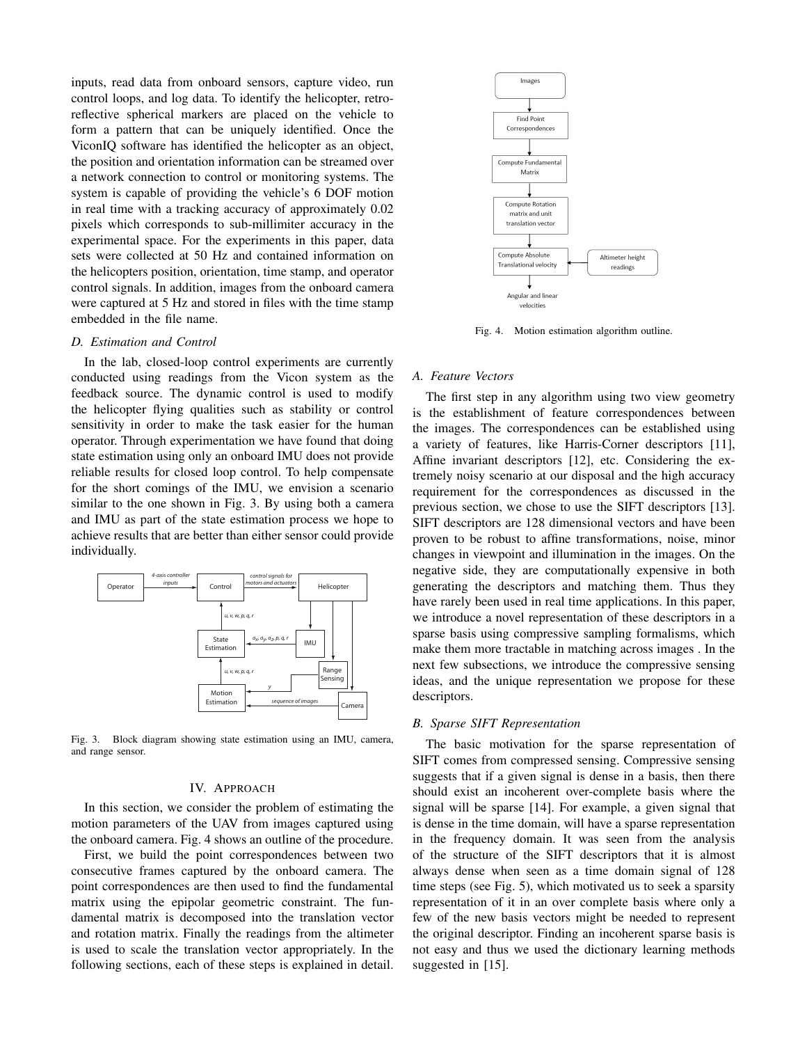inputs, read data from onboard sensors, capture video, run control loops, and log data. To identify the helicopter, retroreflective spherical markers are placed on the vehicle to form a pattern that can be uniquely identified. Once the ViconIQ software has identified the helicopter as an object, the position and orientation information can be streamed over a network connection to control or monitoring systems. The system is capable of providing the vehicle's 6 DOF motion in real time with a tracking accuracy of approximately 0.02 pixels which corresponds to sub-millimiter accuracy in the experimental space. For the experiments in this paper, data sets were collected at 50 Hz and contained information on the helicopters position, orientation, time stamp, and operator control signals. In addition, images from the onboard camera were captured at 5 Hz and stored in files with the time stamp embedded in the file name.

### *D. Estimation and Control*

In the lab, closed-loop control experiments are currently conducted using readings from the Vicon system as the feedback source. The dynamic control is used to modify the helicopter flying qualities such as stability or control sensitivity in order to make the task easier for the human operator. Through experimentation we have found that doing state estimation using only an onboard IMU does not provide reliable results for closed loop control. To help compensate for the short comings of the IMU, we envision a scenario similar to the one shown in Fig. 3. By using both a camera and IMU as part of the state estimation process we hope to achieve results that are better than either sensor could provide individually.



Fig. 3. Block diagram showing state estimation using an IMU, camera, and range sensor.

# IV. APPROACH

In this section, we consider the problem of estimating the motion parameters of the UAV from images captured using the onboard camera. Fig. 4 shows an outline of the procedure.

First, we build the point correspondences between two consecutive frames captured by the onboard camera. The point correspondences are then used to find the fundamental matrix using the epipolar geometric constraint. The fundamental matrix is decomposed into the translation vector and rotation matrix. Finally the readings from the altimeter is used to scale the translation vector appropriately. In the following sections, each of these steps is explained in detail.



Fig. 4. Motion estimation algorithm outline.

## *A. Feature Vectors*

The first step in any algorithm using two view geometry is the establishment of feature correspondences between the images. The correspondences can be established using a variety of features, like Harris-Corner descriptors [11], Affine invariant descriptors [12], etc. Considering the extremely noisy scenario at our disposal and the high accuracy requirement for the correspondences as discussed in the previous section, we chose to use the SIFT descriptors [13]. SIFT descriptors are 128 dimensional vectors and have been proven to be robust to affine transformations, noise, minor changes in viewpoint and illumination in the images. On the negative side, they are computationally expensive in both generating the descriptors and matching them. Thus they have rarely been used in real time applications. In this paper, we introduce a novel representation of these descriptors in a sparse basis using compressive sampling formalisms, which make them more tractable in matching across images . In the next few subsections, we introduce the compressive sensing ideas, and the unique representation we propose for these descriptors.

## *B. Sparse SIFT Representation*

The basic motivation for the sparse representation of SIFT comes from compressed sensing. Compressive sensing suggests that if a given signal is dense in a basis, then there should exist an incoherent over-complete basis where the signal will be sparse [14]. For example, a given signal that is dense in the time domain, will have a sparse representation in the frequency domain. It was seen from the analysis of the structure of the SIFT descriptors that it is almost always dense when seen as a time domain signal of 128 time steps (see Fig. 5), which motivated us to seek a sparsity representation of it in an over complete basis where only a few of the new basis vectors might be needed to represent the original descriptor. Finding an incoherent sparse basis is not easy and thus we used the dictionary learning methods suggested in [15].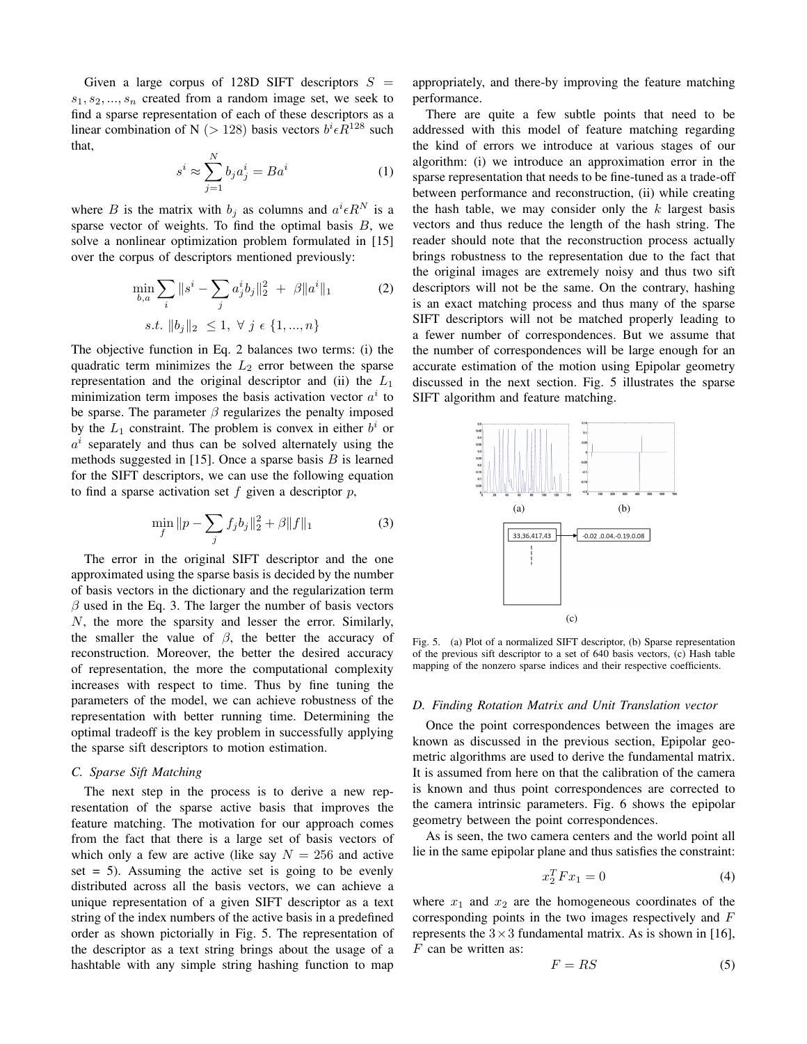Given a large corpus of 128D SIFT descriptors  $S =$  $s_1, s_2, \ldots, s_n$  created from a random image set, we seek to find a sparse representation of each of these descriptors as a linear combination of N (> 128) basis vectors  $b^i \epsilon R^{128}$  such that,

$$
s^i \approx \sum_{j=1}^N b_j a_j^i = B a^i \tag{1}
$$

where B is the matrix with  $b_j$  as columns and  $a^i \in R^N$  is a sparse vector of weights. To find the optimal basis  $B$ , we solve a nonlinear optimization problem formulated in [15] over the corpus of descriptors mentioned previously:

$$
\min_{b,a} \sum_{i} \|s^{i} - \sum_{j} a_{j}^{i} b_{j}\|_{2}^{2} + \beta \|a^{i}\|_{1}
$$
\n
$$
s.t. \|b_{j}\|_{2} \leq 1, \ \forall \ j \in \{1, ..., n\}
$$
\n(2)

The objective function in Eq. 2 balances two terms: (i) the quadratic term minimizes the  $L_2$  error between the sparse representation and the original descriptor and (ii) the  $L_1$ minimization term imposes the basis activation vector  $a^i$  to be sparse. The parameter  $\beta$  regularizes the penalty imposed by the  $L_1$  constraint. The problem is convex in either  $b^i$  or  $a^i$  separately and thus can be solved alternately using the methods suggested in [15]. Once a sparse basis  $B$  is learned for the SIFT descriptors, we can use the following equation to find a sparse activation set  $f$  given a descriptor  $p$ ,

$$
\min_{f} \|p - \sum_{j} f_j b_j\|_2^2 + \beta \|f\|_1
$$
 (3)

The error in the original SIFT descriptor and the one approximated using the sparse basis is decided by the number of basis vectors in the dictionary and the regularization term  $\beta$  used in the Eq. 3. The larger the number of basis vectors N, the more the sparsity and lesser the error. Similarly, the smaller the value of  $\beta$ , the better the accuracy of reconstruction. Moreover, the better the desired accuracy of representation, the more the computational complexity increases with respect to time. Thus by fine tuning the parameters of the model, we can achieve robustness of the representation with better running time. Determining the optimal tradeoff is the key problem in successfully applying the sparse sift descriptors to motion estimation.

#### *C. Sparse Sift Matching*

The next step in the process is to derive a new representation of the sparse active basis that improves the feature matching. The motivation for our approach comes from the fact that there is a large set of basis vectors of which only a few are active (like say  $N = 256$  and active set  $= 5$ ). Assuming the active set is going to be evenly distributed across all the basis vectors, we can achieve a unique representation of a given SIFT descriptor as a text string of the index numbers of the active basis in a predefined order as shown pictorially in Fig. 5. The representation of the descriptor as a text string brings about the usage of a hashtable with any simple string hashing function to map

appropriately, and there-by improving the feature matching performance.

There are quite a few subtle points that need to be addressed with this model of feature matching regarding the kind of errors we introduce at various stages of our algorithm: (i) we introduce an approximation error in the sparse representation that needs to be fine-tuned as a trade-off between performance and reconstruction, (ii) while creating the hash table, we may consider only the  $k$  largest basis vectors and thus reduce the length of the hash string. The reader should note that the reconstruction process actually brings robustness to the representation due to the fact that the original images are extremely noisy and thus two sift descriptors will not be the same. On the contrary, hashing is an exact matching process and thus many of the sparse SIFT descriptors will not be matched properly leading to a fewer number of correspondences. But we assume that the number of correspondences will be large enough for an accurate estimation of the motion using Epipolar geometry discussed in the next section. Fig. 5 illustrates the sparse SIFT algorithm and feature matching.



Fig. 5. (a) Plot of a normalized SIFT descriptor, (b) Sparse representation of the previous sift descriptor to a set of 640 basis vectors, (c) Hash table mapping of the nonzero sparse indices and their respective coefficients.

#### *D. Finding Rotation Matrix and Unit Translation vector*

Once the point correspondences between the images are known as discussed in the previous section, Epipolar geometric algorithms are used to derive the fundamental matrix. It is assumed from here on that the calibration of the camera is known and thus point correspondences are corrected to the camera intrinsic parameters. Fig. 6 shows the epipolar geometry between the point correspondences.

As is seen, the two camera centers and the world point all lie in the same epipolar plane and thus satisfies the constraint:

$$
x_2^T F x_1 = 0 \tag{4}
$$

where  $x_1$  and  $x_2$  are the homogeneous coordinates of the corresponding points in the two images respectively and F represents the  $3 \times 3$  fundamental matrix. As is shown in [16],  $F$  can be written as:

$$
F = RS \tag{5}
$$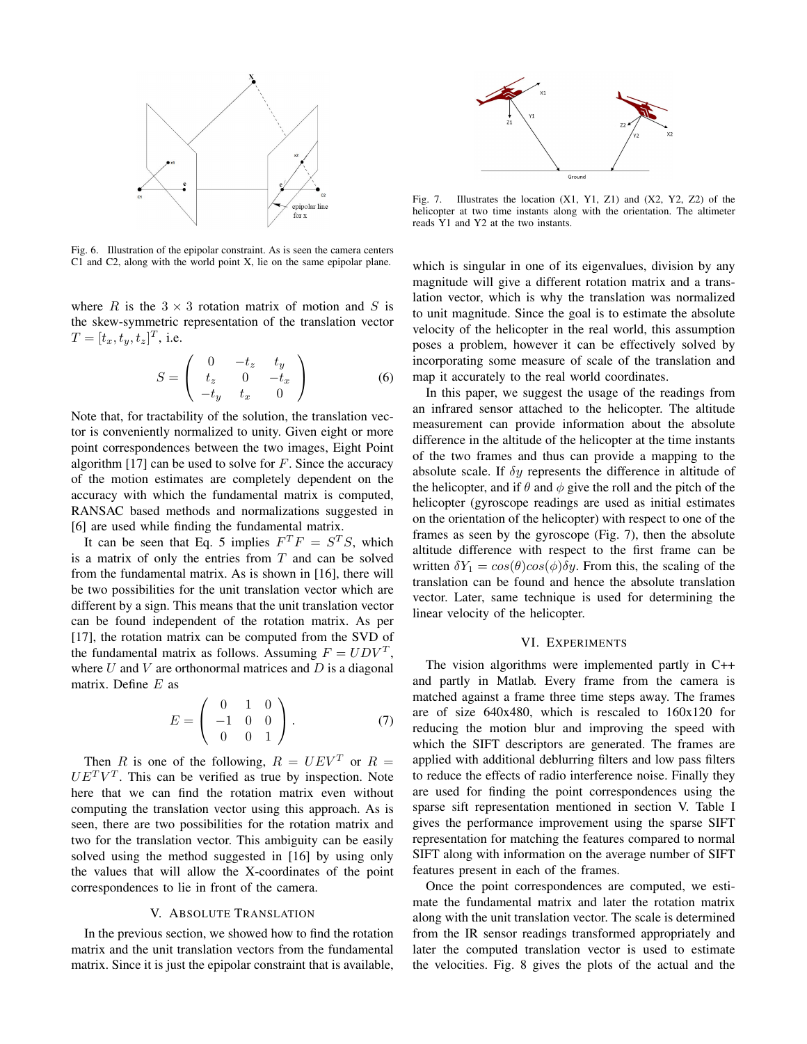

Fig. 6. Illustration of the epipolar constraint. As is seen the camera centers C1 and C2, along with the world point X, lie on the same epipolar plane.

where R is the  $3 \times 3$  rotation matrix of motion and S is the skew-symmetric representation of the translation vector  $T = [t_x, t_y, t_z]^T$ , i.e.

$$
S = \left(\begin{array}{ccc} 0 & -t_z & t_y \\ t_z & 0 & -t_x \\ -t_y & t_x & 0 \end{array}\right) \tag{6}
$$

Note that, for tractability of the solution, the translation vector is conveniently normalized to unity. Given eight or more point correspondences between the two images, Eight Point algorithm  $[17]$  can be used to solve for  $F$ . Since the accuracy of the motion estimates are completely dependent on the accuracy with which the fundamental matrix is computed, RANSAC based methods and normalizations suggested in [6] are used while finding the fundamental matrix.

It can be seen that Eq. 5 implies  $F^T F = S^T S$ , which is a matrix of only the entries from  $T$  and can be solved from the fundamental matrix. As is shown in [16], there will be two possibilities for the unit translation vector which are different by a sign. This means that the unit translation vector can be found independent of the rotation matrix. As per [17], the rotation matrix can be computed from the SVD of the fundamental matrix as follows. Assuming  $F = UDV^T$ , where  $U$  and  $V$  are orthonormal matrices and  $D$  is a diagonal matrix. Define  $E$  as

$$
E = \left( \begin{array}{ccc} 0 & 1 & 0 \\ -1 & 0 & 0 \\ 0 & 0 & 1 \end{array} \right). \tag{7}
$$

Then R is one of the following,  $R = U E V^T$  or  $R =$  $UE^T V^T$ . This can be verified as true by inspection. Note here that we can find the rotation matrix even without computing the translation vector using this approach. As is seen, there are two possibilities for the rotation matrix and two for the translation vector. This ambiguity can be easily solved using the method suggested in [16] by using only the values that will allow the X-coordinates of the point correspondences to lie in front of the camera.

## V. ABSOLUTE TRANSLATION

In the previous section, we showed how to find the rotation matrix and the unit translation vectors from the fundamental matrix. Since it is just the epipolar constraint that is available,



Fig. 7. Illustrates the location (X1, Y1, Z1) and (X2, Y2, Z2) of the helicopter at two time instants along with the orientation. The altimeter reads Y1 and Y2 at the two instants.

which is singular in one of its eigenvalues, division by any magnitude will give a different rotation matrix and a translation vector, which is why the translation was normalized to unit magnitude. Since the goal is to estimate the absolute velocity of the helicopter in the real world, this assumption poses a problem, however it can be effectively solved by incorporating some measure of scale of the translation and map it accurately to the real world coordinates.

In this paper, we suggest the usage of the readings from an infrared sensor attached to the helicopter. The altitude measurement can provide information about the absolute difference in the altitude of the helicopter at the time instants of the two frames and thus can provide a mapping to the absolute scale. If  $\delta y$  represents the difference in altitude of the helicopter, and if  $\theta$  and  $\phi$  give the roll and the pitch of the helicopter (gyroscope readings are used as initial estimates on the orientation of the helicopter) with respect to one of the frames as seen by the gyroscope (Fig. 7), then the absolute altitude difference with respect to the first frame can be written  $\delta Y_1 = \cos(\theta)\cos(\phi)\delta y$ . From this, the scaling of the translation can be found and hence the absolute translation vector. Later, same technique is used for determining the linear velocity of the helicopter.

#### VI. EXPERIMENTS

The vision algorithms were implemented partly in C++ and partly in Matlab. Every frame from the camera is matched against a frame three time steps away. The frames are of size 640x480, which is rescaled to 160x120 for reducing the motion blur and improving the speed with which the SIFT descriptors are generated. The frames are applied with additional deblurring filters and low pass filters to reduce the effects of radio interference noise. Finally they are used for finding the point correspondences using the sparse sift representation mentioned in section V. Table I gives the performance improvement using the sparse SIFT representation for matching the features compared to normal SIFT along with information on the average number of SIFT features present in each of the frames.

Once the point correspondences are computed, we estimate the fundamental matrix and later the rotation matrix along with the unit translation vector. The scale is determined from the IR sensor readings transformed appropriately and later the computed translation vector is used to estimate the velocities. Fig. 8 gives the plots of the actual and the